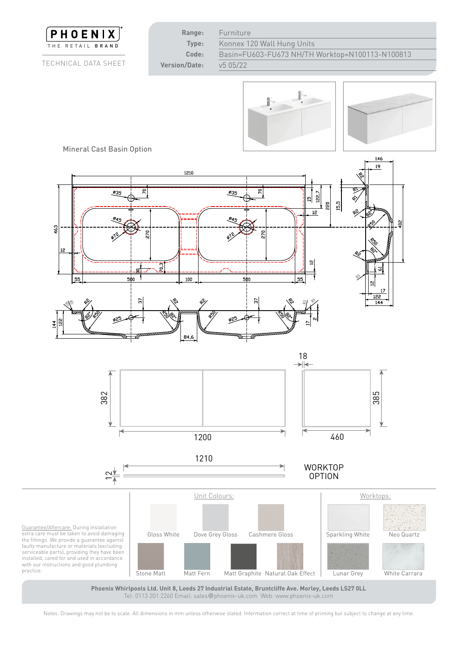

**Phoenix Whirlpools Ltd. Unit 8, Leeds 27 Industrial Estate, Bruntcliffe Ave. Morley, Leeds LS27 0LL** Tel: 0113 201 2260 Email: sales@phoenix-uk.com Web: www.phoenix-uk.com

Notes: Drawings may not be to scale. All dimensions in mm unless otherwise stated. Information correct at time of printing but subject to change at any time.